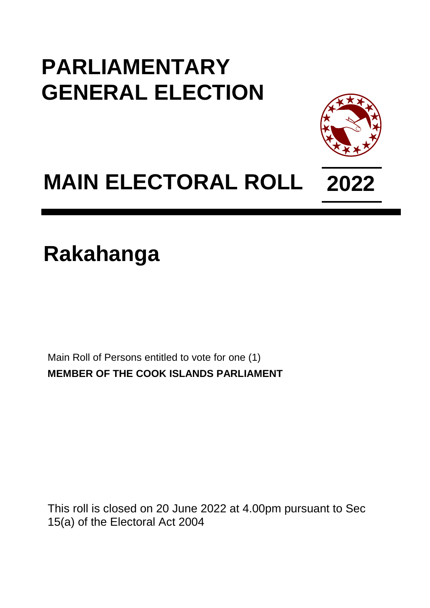## **PARLIAMENTARY GENERAL ELECTION**



## **MAIN ELECTORAL ROLL 2022**

## **Rakahanga**

Main Roll of Persons entitled to vote for one (1) **MEMBER OF THE COOK ISLANDS PARLIAMENT**

This roll is closed on 20 June 2022 at 4.00pm pursuant to Sec 15(a) of the Electoral Act 2004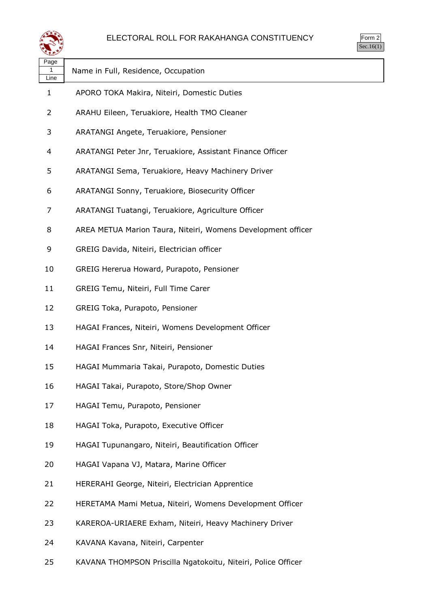



| ∼≖                |                                                              |
|-------------------|--------------------------------------------------------------|
| Page<br>1<br>Line | Name in Full, Residence, Occupation                          |
| 1                 | APORO TOKA Makira, Niteiri, Domestic Duties                  |
| 2                 | ARAHU Eileen, Teruakiore, Health TMO Cleaner                 |
| 3                 | ARATANGI Angete, Teruakiore, Pensioner                       |
| 4                 | ARATANGI Peter Jnr, Teruakiore, Assistant Finance Officer    |
| 5                 | ARATANGI Sema, Teruakiore, Heavy Machinery Driver            |
| 6                 | ARATANGI Sonny, Teruakiore, Biosecurity Officer              |
| 7                 | ARATANGI Tuatangi, Teruakiore, Agriculture Officer           |
| 8                 | AREA METUA Marion Taura, Niteiri, Womens Development officer |
| 9                 | GREIG Davida, Niteiri, Electrician officer                   |
| 10                | GREIG Hererua Howard, Purapoto, Pensioner                    |
| 11                | GREIG Temu, Niteiri, Full Time Carer                         |
| 12                | GREIG Toka, Purapoto, Pensioner                              |
| 13                | HAGAI Frances, Niteiri, Womens Development Officer           |
| 14                | HAGAI Frances Snr, Niteiri, Pensioner                        |
| 15                | HAGAI Mummaria Takai, Purapoto, Domestic Duties              |
| 16                | HAGAI Takai, Purapoto, Store/Shop Owner                      |
| 17                | HAGAI Temu, Purapoto, Pensioner                              |
| 18                | HAGAI Toka, Purapoto, Executive Officer                      |
| 19                | HAGAI Tupunangaro, Niteiri, Beautification Officer           |
| 20                | HAGAI Vapana VJ, Matara, Marine Officer                      |
| 21                | HERERAHI George, Niteiri, Electrician Apprentice             |
| 22                | HERETAMA Mami Metua, Niteiri, Womens Development Officer     |
| 23                | KAREROA-URIAERE Exham, Niteiri, Heavy Machinery Driver       |
| 24                | KAVANA Kavana, Niteiri, Carpenter                            |

KAVANA THOMPSON Priscilla Ngatokoitu, Niteiri, Police Officer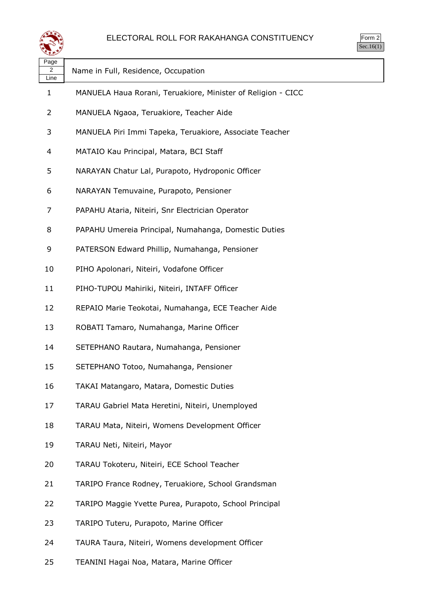

Form 2  $\frac{1}{\text{Sec.16(1)}}$ 

| Page<br>2<br>Line | Name in Full, Residence, Occupation                          |
|-------------------|--------------------------------------------------------------|
| 1                 | MANUELA Haua Rorani, Teruakiore, Minister of Religion - CICC |
| 2                 | MANUELA Ngaoa, Teruakiore, Teacher Aide                      |
| 3                 | MANUELA Piri Immi Tapeka, Teruakiore, Associate Teacher      |
| 4                 | MATAIO Kau Principal, Matara, BCI Staff                      |
| 5                 | NARAYAN Chatur Lal, Purapoto, Hydroponic Officer             |
| 6                 | NARAYAN Temuvaine, Purapoto, Pensioner                       |
| 7                 | PAPAHU Ataria, Niteiri, Snr Electrician Operator             |
| 8                 | PAPAHU Umereia Principal, Numahanga, Domestic Duties         |
| 9                 | PATERSON Edward Phillip, Numahanga, Pensioner                |
| 10                | PIHO Apolonari, Niteiri, Vodafone Officer                    |
| 11                | PIHO-TUPOU Mahiriki, Niteiri, INTAFF Officer                 |
| 12                | REPAIO Marie Teokotai, Numahanga, ECE Teacher Aide           |
| 13                | ROBATI Tamaro, Numahanga, Marine Officer                     |
| 14                | SETEPHANO Rautara, Numahanga, Pensioner                      |
| 15                | SETEPHANO Totoo, Numahanga, Pensioner                        |
| 16                | TAKAI Matangaro, Matara, Domestic Duties                     |
| 17                | TARAU Gabriel Mata Heretini, Niteiri, Unemployed             |
| 18                | TARAU Mata, Niteiri, Womens Development Officer              |
| 19                | TARAU Neti, Niteiri, Mayor                                   |
| 20                | TARAU Tokoteru, Niteiri, ECE School Teacher                  |
| 21                | TARIPO France Rodney, Teruakiore, School Grandsman           |
| 22                | TARIPO Maggie Yvette Purea, Purapoto, School Principal       |
| 23                | TARIPO Tuteru, Purapoto, Marine Officer                      |
| 24                | TAURA Taura, Niteiri, Womens development Officer             |

TEANINI Hagai Noa, Matara, Marine Officer